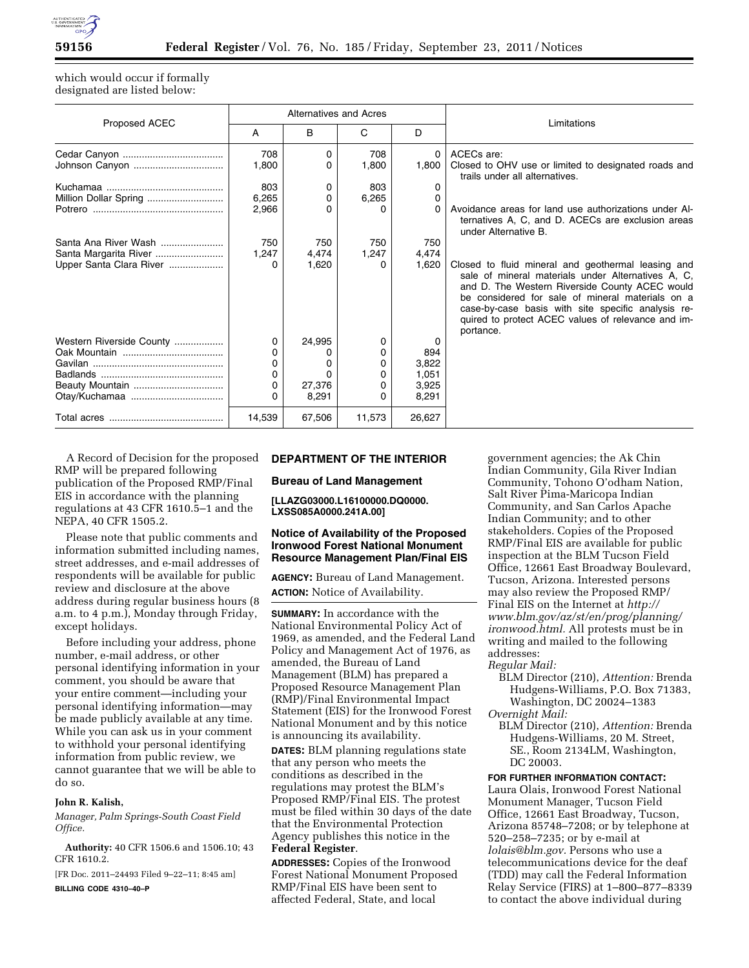

which would occur if formally designated are listed below:

| Proposed ACEC            | <b>Alternatives and Acres</b> |        |        |          | Limitations                                                                                                                                                                                                                                                                                                                             |
|--------------------------|-------------------------------|--------|--------|----------|-----------------------------------------------------------------------------------------------------------------------------------------------------------------------------------------------------------------------------------------------------------------------------------------------------------------------------------------|
|                          | A                             | B      | C      | D        |                                                                                                                                                                                                                                                                                                                                         |
|                          | 708                           | 0      | 708    | 0        | ACECs are:                                                                                                                                                                                                                                                                                                                              |
|                          | 1,800                         | 0      | 1.800  | 1,800    | Closed to OHV use or limited to designated roads and<br>trails under all alternatives.                                                                                                                                                                                                                                                  |
|                          | 803                           | 0      | 803    | 0        |                                                                                                                                                                                                                                                                                                                                         |
| Million Dollar Spring    | 6,265                         | 0      | 6,265  | 0        |                                                                                                                                                                                                                                                                                                                                         |
|                          | 2,966                         | 0      | n      | $\Omega$ | Avoidance areas for land use authorizations under Al-<br>ternatives A, C, and D. ACECs are exclusion areas<br>under Alternative B.                                                                                                                                                                                                      |
| Santa Ana River Wash     | 750                           | 750    | 750    | 750      |                                                                                                                                                                                                                                                                                                                                         |
| Santa Margarita River    | 1,247                         | 4,474  | 1,247  | 4,474    |                                                                                                                                                                                                                                                                                                                                         |
| Upper Santa Clara River  |                               | 1,620  | 0      | 1,620    | Closed to fluid mineral and geothermal leasing and<br>sale of mineral materials under Alternatives A, C,<br>and D. The Western Riverside County ACEC would<br>be considered for sale of mineral materials on a<br>case-by-case basis with site specific analysis re-<br>quired to protect ACEC values of relevance and im-<br>portance. |
| Western Riverside County | 0                             | 24,995 | 0      | 0        |                                                                                                                                                                                                                                                                                                                                         |
|                          |                               |        | 0      | 894      |                                                                                                                                                                                                                                                                                                                                         |
|                          |                               |        | 0      | 3,822    |                                                                                                                                                                                                                                                                                                                                         |
|                          | 0                             |        | 0      | 1.051    |                                                                                                                                                                                                                                                                                                                                         |
| Beauty Mountain          |                               | 27,376 | 0      | 3,925    |                                                                                                                                                                                                                                                                                                                                         |
|                          | O                             | 8,291  | 0      | 8,291    |                                                                                                                                                                                                                                                                                                                                         |
|                          | 14.539                        | 67,506 | 11,573 | 26,627   |                                                                                                                                                                                                                                                                                                                                         |

A Record of Decision for the proposed RMP will be prepared following publication of the Proposed RMP/Final EIS in accordance with the planning regulations at 43 CFR 1610.5–1 and the NEPA, 40 CFR 1505.2.

Please note that public comments and information submitted including names, street addresses, and e-mail addresses of respondents will be available for public review and disclosure at the above address during regular business hours (8 a.m. to 4 p.m.), Monday through Friday, except holidays.

Before including your address, phone number, e-mail address, or other personal identifying information in your comment, you should be aware that your entire comment—including your personal identifying information—may be made publicly available at any time. While you can ask us in your comment to withhold your personal identifying information from public review, we cannot guarantee that we will be able to do so.

#### **John R. Kalish,**

*Manager, Palm Springs-South Coast Field Office.* 

**Authority:** 40 CFR 1506.6 and 1506.10; 43 CFR 1610.2.

[FR Doc. 2011–24493 Filed 9–22–11; 8:45 am] **BILLING CODE 4310–40–P** 

### **DEPARTMENT OF THE INTERIOR**

**Bureau of Land Management** 

**[LLAZG03000.L16100000.DQ0000. LXSS085A0000.241A.00]** 

## **Notice of Availability of the Proposed Ironwood Forest National Monument Resource Management Plan/Final EIS**

**AGENCY:** Bureau of Land Management. **ACTION:** Notice of Availability.

**SUMMARY:** In accordance with the National Environmental Policy Act of 1969, as amended, and the Federal Land Policy and Management Act of 1976, as amended, the Bureau of Land Management (BLM) has prepared a Proposed Resource Management Plan (RMP)/Final Environmental Impact Statement (EIS) for the Ironwood Forest National Monument and by this notice is announcing its availability.

**DATES:** BLM planning regulations state that any person who meets the conditions as described in the regulations may protest the BLM's Proposed RMP/Final EIS. The protest must be filed within 30 days of the date that the Environmental Protection Agency publishes this notice in the **Federal Register**.

**ADDRESSES:** Copies of the Ironwood Forest National Monument Proposed RMP/Final EIS have been sent to affected Federal, State, and local

government agencies; the Ak Chin Indian Community, Gila River Indian Community, Tohono O'odham Nation, Salt River Pima-Maricopa Indian Community, and San Carlos Apache Indian Community; and to other stakeholders. Copies of the Proposed RMP/Final EIS are available for public inspection at the BLM Tucson Field Office, 12661 East Broadway Boulevard, Tucson, Arizona. Interested persons may also review the Proposed RMP/ Final EIS on the Internet at *http:// www.blm.gov/az/st/en/prog/planning/ ironwood.html.* All protests must be in writing and mailed to the following addresses:

#### *Regular Mail:*

- BLM Director (210), *Attention:* Brenda Hudgens-Williams, P.O. Box 71383, Washington, DC 20024–1383 *Overnight Mail:* 
	- BLM Director (210), *Attention:* Brenda Hudgens-Williams, 20 M. Street, SE., Room 2134LM, Washington, DC 20003.

**FOR FURTHER INFORMATION CONTACT:**  Laura Olais, Ironwood Forest National Monument Manager, Tucson Field Office, 12661 East Broadway, Tucson, Arizona 85748–7208; or by telephone at 520–258–7235; or by e-mail at *lolais@blm.gov.* Persons who use a telecommunications device for the deaf (TDD) may call the Federal Information Relay Service (FIRS) at 1–800–877–8339 to contact the above individual during